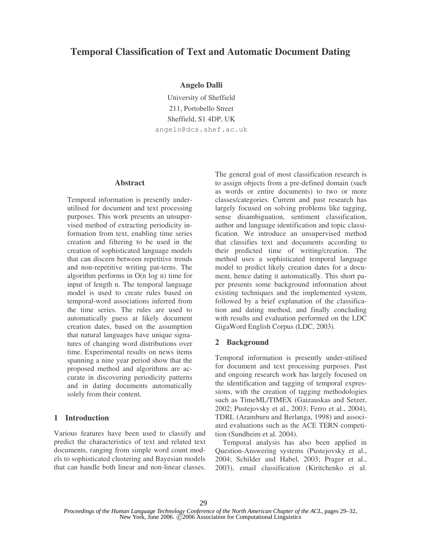# **Temporal Classification of Text and Automatic Document Dating**

## **Angelo Dalli**

University of Sheffield 211, Portobello Street Sheffield, S1 4DP, UK angelo@dcs.shef.ac.uk

## **Abstract**

Temporal information is presently underutilised for document and text processing purposes. This work presents an unsupervised method of extracting periodicity information from text, enabling time series creation and filtering to be used in the creation of sophisticated language models that can discern between repetitive trends and non-repetitive writing pat-terns. The algorithm performs in O(n log n) time for input of length n. The temporal language model is used to create rules based on temporal-word associations inferred from the time series. The rules are used to automatically guess at likely document creation dates, based on the assumption that natural languages have unique signatures of changing word distributions over time. Experimental results on news items spanning a nine year period show that the proposed method and algorithms are accurate in discovering periodicity patterns and in dating documents automatically solely from their content.

## **1 Introduction**

Various features have been used to classify and predict the characteristics of text and related text documents, ranging from simple word count models to sophisticated clustering and Bayesian models that can handle both linear and non-linear classes. The general goal of most classification research is to assign objects from a pre-defined domain (such as words or entire documents) to two or more classes/categories. Current and past research has largely focused on solving problems like tagging, sense disambiguation, sentiment classification, author and language identification and topic classification. We introduce an unsupervised method that classifies text and documents according to their predicted time of writing/creation. The method uses a sophisticated temporal language model to predict likely creation dates for a document, hence dating it automatically. This short paper presents some background information about existing techniques and the implemented system, followed by a brief explanation of the classification and dating method, and finally concluding with results and evaluation performed on the LDC GigaWord English Corpus (LDC, 2003).

## **2 Background**

Temporal information is presently under-utilised for document and text processing purposes. Past and ongoing research work has largely focused on the identification and tagging of temporal expressions, with the creation of tagging methodologies such as TimeML/TIMEX (Gaizauskas and Setzer, 2002; Pustejovsky et al., 2003; Ferro et al., 2004), TDRL (Aramburu and Berlanga, 1998) and associated evaluations such as the ACE TERN competition (Sundheim et al. 2004).

Temporal analysis has also been applied in Question-Answering systems (Pustejovsky et al., 2004; Schilder and Habel, 2003; Prager et al., 2003), email classification (Kiritchenko et al.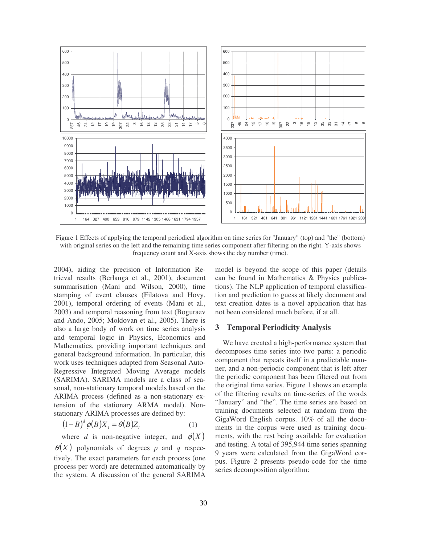

Figure 1 Effects of applying the temporal periodical algorithm on time series for "January" (top) and "the" (bottom) with original series on the left and the remaining time series component after filtering on the right. Y-axis shows frequency count and X-axis shows the day number (time).

2004), aiding the precision of Information Retrieval results (Berlanga et al., 2001), document summarisation (Mani and Wilson, 2000), time stamping of event clauses (Filatova and Hovy, 2001), temporal ordering of events (Mani et al., 2003) and temporal reasoning from text (Boguraev and Ando, 2005; Moldovan et al., 2005). There is also a large body of work on time series analysis and temporal logic in Physics, Economics and Mathematics, providing important techniques and general background information. In particular, this work uses techniques adapted from Seasonal Auto-Regressive Integrated Moving Average models (SARIMA). SARIMA models are a class of seasonal, non-stationary temporal models based on the ARIMA process (defined as a non-stationary extension of the stationary ARMA model). Nonstationary ARIMA processes are defined by:

$$
(1 - B)^d \phi(B) X_t = \theta(B) Z_t \tag{1}
$$

where *d* is non-negative integer, and  $\phi(X)$  $\theta(X)$  polynomials of degrees p and q respectively. The exact parameters for each process (one process per word) are determined automatically by the system. A discussion of the general SARIMA

model is beyond the scope of this paper (details can be found in Mathematics & Physics publications). The NLP application of temporal classification and prediction to guess at likely document and text creation dates is a novel application that has not been considered much before, if at all.

#### **3 Temporal Periodicity Analysis**

We have created a high-performance system that decomposes time series into two parts: a periodic component that repeats itself in a predictable manner, and a non-periodic component that is left after the periodic component has been filtered out from the original time series. Figure 1 shows an example of the filtering results on time-series of the words "January" and "the". The time series are based on training documents selected at random from the GigaWord English corpus. 10% of all the documents in the corpus were used as training documents, with the rest being available for evaluation and testing. A total of 395,944 time series spanning 9 years were calculated from the GigaWord corpus. Figure 2 presents pseudo-code for the time series decomposition algorithm: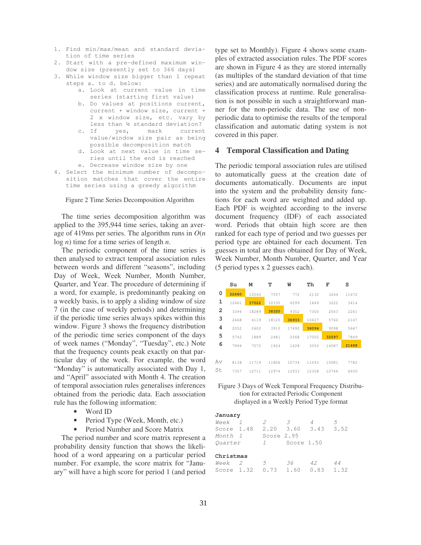- 1. Find min/max/mean and standard deviation of time series
- 2. Start with a pre-defined maximum window size (presently set to 366 days)
- 3. While window size bigger than 1 repeat steps a. to d. below:
	- a. Look at current value in time series (starting first value)
	- b. Do values at positions current, current + window size, current + 2 x window size, etc. vary by less than ½ standard deviation?
	- c. If yes, mark current value/window size pair as being possible decomposition match
	- d. Look at next value in time series until the end is reached
	- e. Decrease window size by one
- 4. Select the minimum number of decomposition matches that cover the entire time series using a greedy algorithm

#### Figure 2 Time Series Decomposition Algorithm

The time series decomposition algorithm was applied to the 395,944 time series, taking an average of 419ms per series. The algorithm runs in *O*(*n* log *n*) time for a time series of length *n*.

The periodic component of the time series is then analysed to extract temporal association rules between words and different "seasons", including Day of Week, Week Number, Month Number, Quarter, and Year. The procedure of determining if a word, for example, is predominantly peaking on a weekly basis, is to apply a sliding window of size 7 (in the case of weekly periods) and determining if the periodic time series always spikes within this window. Figure 3 shows the frequency distribution of the periodic time series component of the days of week names ("Monday", "Tuesday", etc.) Note that the frequency counts peak exactly on that particular day of the week. For example, the word "Monday" is automatically associated with Day 1, and "April" associated with Month 4. The creation of temporal association rules generalises inferences obtained from the periodic data. Each association rule has the following information:

#### Word ID

Period Type (Week, Month, etc.)

Period Number and Score Matrix

The period number and score matrix represent a probability density function that shows the likelihood of a word appearing on a particular period number. For example, the score matrix for "January" will have a high score for period 1 (and period type set to Monthly). Figure 4 shows some examples of extracted association rules. The PDF scores are shown in Figure 4 as they are stored internally (as multiples of the standard deviation of that time series) and are automatically normalised during the classification process at runtime. Rule generalisation is not possible in such a straightforward manner for the non-periodic data. The use of nonperiodic data to optimise the results of the temporal classification and automatic dating system is not covered in this paper.

#### **4 Temporal Classification and Dating**

The periodic temporal association rules are utilised to automatically guess at the creation date of documents automatically. Documents are input into the system and the probability density functions for each word are weighted and added up. Each PDF is weighted according to the inverse document frequency (IDF) of each associated word. Periods that obtain high score are then ranked for each type of period and two guesses per period type are obtained for each document. Ten guesses in total are thus obtained for Day of Week, Week Number, Month Number, Quarter, and Year (5 period types x 2 guesses each).

|    | Su    | M     | т     | W     | Th    | F     | s     |
|----|-------|-------|-------|-------|-------|-------|-------|
| 0  | 22660 | 10540 | 7557  | 772   | 2130  | 3264  | 11672 |
| 1  | 12461 | 37522 | 10335 | 6599  | 1649  | 3222  | 3414  |
| 2  | 3394  | 18289 | 38320 | 9352  | 7300  | 2543  | 2261  |
| 3  | 2668  | 4119  | 18120 | 36933 | 10427 | 5762  | 2147  |
| 4  | 2052  | 2602  | 3910  | 17492 | 36094 | 9098  | 5667  |
| 5  | 5742  | 1889  | 2481  | 2568  | 17002 | 32597 | 7849  |
| 6  | 7994  | 7072  | 1924  | 1428  | 3050  | 14087 | 21468 |
|    |       |       |       |       |       |       |       |
| Av | 8138  | 11719 | 11806 | 10734 | 11093 | 10081 | 7782  |
| St | 7357  | 12711 | 12974 | 12933 | 12308 | 10746 | 6930  |

## Figure 3 Days of Week Temporal Frequency Distribution for extracted Periodic Component displayed in a Weekly Period Type format

#### **January**

| Week 1     |  | 2             | $\overline{\mathcal{Z}}$ |             | $\overline{2}$ |
|------------|--|---------------|--------------------------|-------------|----------------|
| Score 1.48 |  |               | $2.20$ $3.60$ $3.43$     |             | 3.52           |
| Month 1    |  | Score 2.95    |                          |             |                |
| Ouarter    |  | $\frac{1}{2}$ | Score 1.50               |             |                |
| Christmas  |  |               |                          |             |                |
| Week 2     |  | -5            | 36                       | 42          | 44             |
|            |  |               | Score 1.32 0.73 1.60     | $0.83$ 1.32 |                |
|            |  |               |                          |             |                |